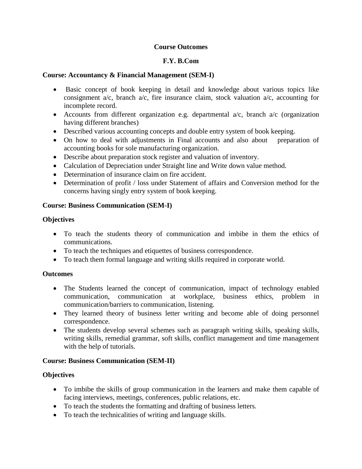### **Course Outcomes**

#### **F.Y. B.Com**

#### **Course: Accountancy & Financial Management (SEM-I)**

- Basic concept of book keeping in detail and knowledge about various topics like consignment a/c, branch a/c, fire insurance claim, stock valuation a/c, accounting for incomplete record.
- Accounts from different organization e.g. departmental  $a/c$ , branch  $a/c$  (organization having different branches)
- Described various accounting concepts and double entry system of book keeping.
- On how to deal with adjustments in Final accounts and also about preparation of accounting books for sole manufacturing organization.
- Describe about preparation stock register and valuation of inventory.
- Calculation of Depreciation under Straight line and Write down value method.
- Determination of insurance claim on fire accident.
- Determination of profit / loss under Statement of affairs and Conversion method for the concerns having singly entry system of book keeping.

### **Course: Business Communication (SEM-I)**

#### **Objectives**

- To teach the students theory of communication and imbibe in them the ethics of communications.
- To teach the techniques and etiquettes of business correspondence.
- To teach them formal language and writing skills required in corporate world.

#### **Outcomes**

- The Students learned the concept of communication, impact of technology enabled communication, communication at workplace, business ethics, problem in communication/barriers to communication, listening.
- They learned theory of business letter writing and become able of doing personnel correspondence.
- The students develop several schemes such as paragraph writing skills, speaking skills, writing skills, remedial grammar, soft skills, conflict management and time management with the help of tutorials.

### **Course: Business Communication (SEM-II)**

### **Objectives**

- To imbibe the skills of group communication in the learners and make them capable of facing interviews, meetings, conferences, public relations, etc.
- To teach the students the formatting and drafting of business letters.
- To teach the technicalities of writing and language skills.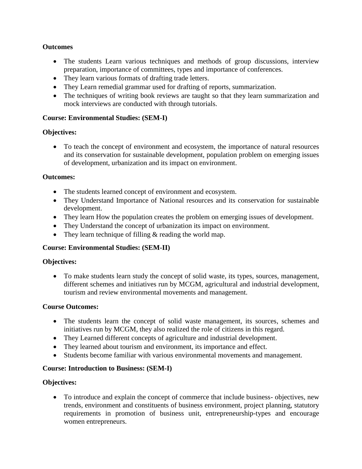#### **Outcomes**

- The students Learn various techniques and methods of group discussions, interview preparation, importance of committees, types and importance of conferences.
- They learn various formats of drafting trade letters.
- They Learn remedial grammar used for drafting of reports, summarization.
- The techniques of writing book reviews are taught so that they learn summarization and mock interviews are conducted with through tutorials.

#### **Course: Environmental Studies: (SEM-I)**

#### **Objectives:**

• To teach the concept of environment and ecosystem, the importance of natural resources and its conservation for sustainable development, population problem on emerging issues of development, urbanization and its impact on environment.

#### **Outcomes:**

- The students learned concept of environment and ecosystem.
- They Understand Importance of National resources and its conservation for sustainable development.
- They learn How the population creates the problem on emerging issues of development.
- They Understand the concept of urbanization its impact on environment.
- They learn technique of filling & reading the world map.

### **Course: Environmental Studies: (SEM-II)**

#### **Objectives:**

 To make students learn study the concept of solid waste, its types, sources, management, different schemes and initiatives run by MCGM, agricultural and industrial development, tourism and review environmental movements and management.

#### **Course Outcomes:**

- The students learn the concept of solid waste management, its sources, schemes and initiatives run by MCGM, they also realized the role of citizens in this regard.
- They Learned different concepts of agriculture and industrial development.
- They learned about tourism and environment, its importance and effect.
- Students become familiar with various environmental movements and management.

### **Course: Introduction to Business: (SEM-I)**

#### **Objectives:**

 To introduce and explain the concept of commerce that include business- objectives, new trends, environment and constituents of business environment, project planning, statutory requirements in promotion of business unit, entrepreneurship-types and encourage women entrepreneurs.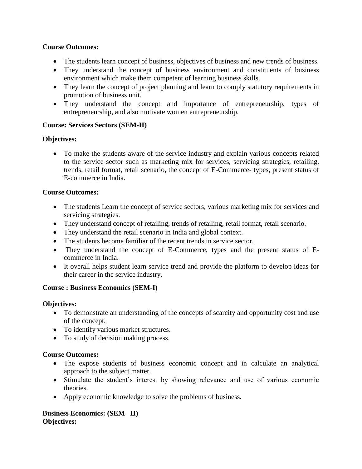## **Course Outcomes:**

- The students learn concept of business, objectives of business and new trends of business.
- They understand the concept of business environment and constituents of business environment which make them competent of learning business skills.
- They learn the concept of project planning and learn to comply statutory requirements in promotion of business unit.
- They understand the concept and importance of entrepreneurship, types of entrepreneurship, and also motivate women entrepreneurship.

# **Course: Services Sectors (SEM-II)**

# **Objectives:**

• To make the students aware of the service industry and explain various concepts related to the service sector such as marketing mix for services, servicing strategies, retailing, trends, retail format, retail scenario, the concept of E-Commerce- types, present status of E-commerce in India.

# **Course Outcomes:**

- The students Learn the concept of service sectors, various marketing mix for services and servicing strategies.
- They understand concept of retailing, trends of retailing, retail format, retail scenario.
- They understand the retail scenario in India and global context.
- The students become familiar of the recent trends in service sector.
- They understand the concept of E-Commerce, types and the present status of Ecommerce in India.
- It overall helps student learn service trend and provide the platform to develop ideas for their career in the service industry.

### **Course : Business Economics (SEM-I)**

### **Objectives:**

- To demonstrate an understanding of the concepts of scarcity and opportunity cost and use of the concept.
- To identify various market structures.
- To study of decision making process.

### **Course Outcomes:**

- The expose students of business economic concept and in calculate an analytical approach to the subject matter.
- Stimulate the student's interest by showing relevance and use of various economic theories.
- Apply economic knowledge to solve the problems of business.

### **Business Economics: (SEM –II) Objectives:**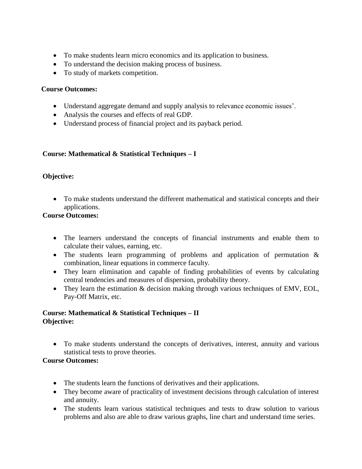- To make students learn micro economics and its application to business.
- To understand the decision making process of business.
- To study of markets competition.

#### **Course Outcomes:**

- Understand aggregate demand and supply analysis to relevance economic issues'.
- Analysis the courses and effects of real GDP.
- Understand process of financial project and its payback period.

### **Course: Mathematical & Statistical Techniques – I**

# **Objective:**

 To make students understand the different mathematical and statistical concepts and their applications.

# **Course Outcomes:**

- The learners understand the concepts of financial instruments and enable them to calculate their values, earning, etc.
- The students learn programming of problems and application of permutation & combination, linear equations in commerce faculty.
- They learn elimination and capable of finding probabilities of events by calculating central tendencies and measures of dispersion, probability theory.
- They learn the estimation & decision making through various techniques of EMV, EOL, Pay-Off Matrix, etc.

### **Course: Mathematical & Statistical Techniques – II Objective:**

 To make students understand the concepts of derivatives, interest, annuity and various statistical tests to prove theories.

- The students learn the functions of derivatives and their applications.
- They become aware of practicality of investment decisions through calculation of interest and annuity.
- The students learn various statistical techniques and tests to draw solution to various problems and also are able to draw various graphs, line chart and understand time series.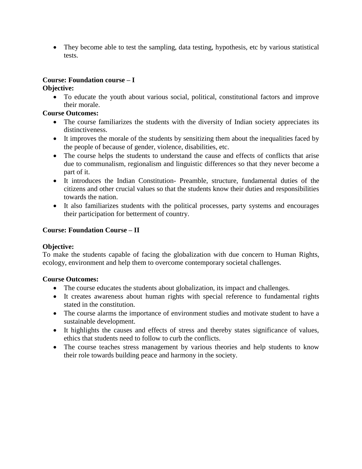• They become able to test the sampling, data testing, hypothesis, etc by various statistical tests.

# **Course: Foundation course – I**

## **Objective:**

 To educate the youth about various social, political, constitutional factors and improve their morale.

# **Course Outcomes:**

- The course familiarizes the students with the diversity of Indian society appreciates its distinctiveness.
- It improves the morale of the students by sensitizing them about the inequalities faced by the people of because of gender, violence, disabilities, etc.
- The course helps the students to understand the cause and effects of conflicts that arise due to communalism, regionalism and linguistic differences so that they never become a part of it.
- It introduces the Indian Constitution- Preamble, structure, fundamental duties of the citizens and other crucial values so that the students know their duties and responsibilities towards the nation.
- It also familiarizes students with the political processes, party systems and encourages their participation for betterment of country.

# **Course: Foundation Course – II**

### **Objective:**

To make the students capable of facing the globalization with due concern to Human Rights, ecology, environment and help them to overcome contemporary societal challenges.

- The course educates the students about globalization, its impact and challenges.
- It creates awareness about human rights with special reference to fundamental rights stated in the constitution.
- The course alarms the importance of environment studies and motivate student to have a sustainable development.
- It highlights the causes and effects of stress and thereby states significance of values, ethics that students need to follow to curb the conflicts.
- The course teaches stress management by various theories and help students to know their role towards building peace and harmony in the society.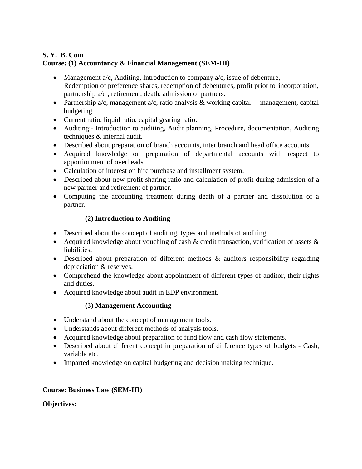## **S. Y. B. Com Course: (1) Accountancy & Financial Management (SEM-III)**

- Management  $a/c$ , Auditing, Introduction to company  $a/c$ , issue of debenture, Redemption of preference shares, redemption of debentures, profit prior to incorporation, partnership a/c , retirement, death, admission of partners.
- Partnership  $a/c$ , management  $a/c$ , ratio analysis & working capital management, capital budgeting.
- Current ratio, liquid ratio, capital gearing ratio.
- Auditing:- Introduction to auditing, Audit planning, Procedure, documentation, Auditing techniques & internal audit.
- Described about preparation of branch accounts, inter branch and head office accounts.
- Acquired knowledge on preparation of departmental accounts with respect to apportionment of overheads.
- Calculation of interest on hire purchase and installment system.
- Described about new profit sharing ratio and calculation of profit during admission of a new partner and retirement of partner.
- Computing the accounting treatment during death of a partner and dissolution of a partner.

# **(2) Introduction to Auditing**

- Described about the concept of auditing, types and methods of auditing.
- Acquired knowledge about vouching of cash  $\&$  credit transaction, verification of assets  $\&$ liabilities.
- Described about preparation of different methods & auditors responsibility regarding depreciation & reserves.
- Comprehend the knowledge about appointment of different types of auditor, their rights and duties.
- Acquired knowledge about audit in EDP environment.

# **(3) Management Accounting**

- Understand about the concept of management tools.
- Understands about different methods of analysis tools.
- Acquired knowledge about preparation of fund flow and cash flow statements.
- Described about different concept in preparation of difference types of budgets Cash, variable etc.
- Imparted knowledge on capital budgeting and decision making technique.

# **Course: Business Law (SEM-III)**

# **Objectives:**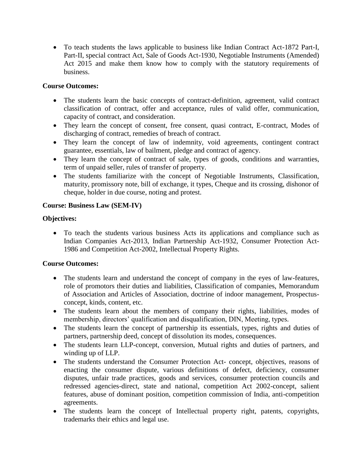To teach students the laws applicable to business like Indian Contract Act-1872 Part-I, Part-II, special contract Act, Sale of Goods Act-1930, Negotiable Instruments (Amended) Act 2015 and make them know how to comply with the statutory requirements of business.

### **Course Outcomes:**

- The students learn the basic concepts of contract-definition, agreement, valid contract classification of contract, offer and acceptance, rules of valid offer, communication, capacity of contract, and consideration.
- They learn the concept of consent, free consent, quasi contract, E-contract, Modes of discharging of contract, remedies of breach of contract.
- They learn the concept of law of indemnity, void agreements, contingent contract guarantee, essentials, law of bailment, pledge and contract of agency.
- They learn the concept of contract of sale, types of goods, conditions and warranties, term of unpaid seller, rules of transfer of property.
- The students familiarize with the concept of Negotiable Instruments, Classification, maturity, promissory note, bill of exchange, it types, Cheque and its crossing, dishonor of cheque, holder in due course, noting and protest.

### **Course: Business Law (SEM-IV)**

### **Objectives:**

 To teach the students various business Acts its applications and compliance such as Indian Companies Act-2013, Indian Partnership Act-1932, Consumer Protection Act-1986 and Competition Act-2002, Intellectual Property Rights.

- The students learn and understand the concept of company in the eyes of law-features, role of promotors their duties and liabilities, Classification of companies, Memorandum of Association and Articles of Association, doctrine of indoor management, Prospectusconcept, kinds, content, etc.
- The students learn about the members of company their rights, liabilities, modes of membership, directors' qualification and disqualification, DIN, Meeting, types.
- The students learn the concept of partnership its essentials, types, rights and duties of partners, partnership deed, concept of dissolution its modes, consequences.
- The students learn LLP-concept, conversion, Mutual rights and duties of partners, and winding up of LLP.
- The students understand the Consumer Protection Act- concept, objectives, reasons of enacting the consumer dispute, various definitions of defect, deficiency, consumer disputes, unfair trade practices, goods and services, consumer protection councils and redressed agencies-direct, state and national, competition Act 2002-concept, salient features, abuse of dominant position, competition commission of India, anti-competition agreements.
- The students learn the concept of Intellectual property right, patents, copyrights, trademarks their ethics and legal use.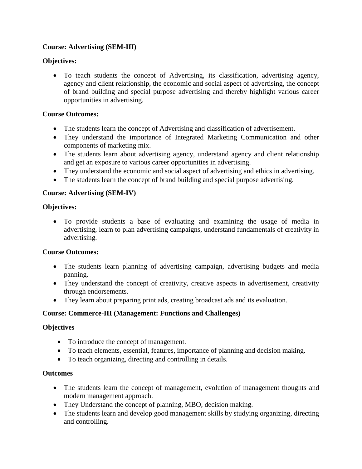# **Course: Advertising (SEM-III)**

## **Objectives:**

 To teach students the concept of Advertising, its classification, advertising agency, agency and client relationship, the economic and social aspect of advertising, the concept of brand building and special purpose advertising and thereby highlight various career opportunities in advertising.

## **Course Outcomes:**

- The students learn the concept of Advertising and classification of advertisement.
- They understand the importance of Integrated Marketing Communication and other components of marketing mix.
- The students learn about advertising agency, understand agency and client relationship and get an exposure to various career opportunities in advertising.
- They understand the economic and social aspect of advertising and ethics in advertising.
- The students learn the concept of brand building and special purpose advertising.

# **Course: Advertising (SEM-IV)**

# **Objectives:**

 To provide students a base of evaluating and examining the usage of media in advertising, learn to plan advertising campaigns, understand fundamentals of creativity in advertising.

# **Course Outcomes:**

- The students learn planning of advertising campaign, advertising budgets and media panning.
- They understand the concept of creativity, creative aspects in advertisement, creativity through endorsements.
- They learn about preparing print ads, creating broadcast ads and its evaluation.

# **Course: Commerce-III (Management: Functions and Challenges)**

### **Objectives**

- To introduce the concept of management.
- To teach elements, essential, features, importance of planning and decision making.
- To teach organizing, directing and controlling in details.

### **Outcomes**

- The students learn the concept of management, evolution of management thoughts and modern management approach.
- They Understand the concept of planning, MBO, decision making.
- The students learn and develop good management skills by studying organizing, directing and controlling.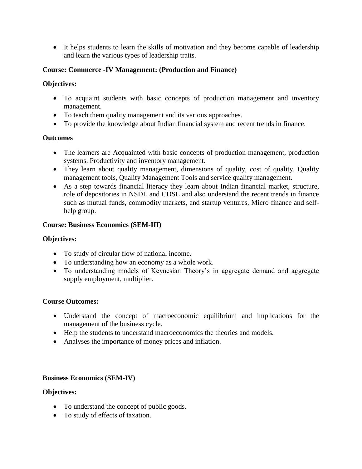It helps students to learn the skills of motivation and they become capable of leadership and learn the various types of leadership traits.

# **Course: Commerce -IV Management: (Production and Finance)**

## **Objectives:**

- To acquaint students with basic concepts of production management and inventory management.
- To teach them quality management and its various approaches.
- To provide the knowledge about Indian financial system and recent trends in finance.

# **Outcomes**

- The learners are Acquainted with basic concepts of production management, production systems. Productivity and inventory management.
- They learn about quality management, dimensions of quality, cost of quality, Quality management tools, Quality Management Tools and service quality management.
- As a step towards financial literacy they learn about Indian financial market, structure, role of depositories in NSDL and CDSL and also understand the recent trends in finance such as mutual funds, commodity markets, and startup ventures, Micro finance and selfhelp group.

# **Course: Business Economics (SEM-III)**

# **Objectives:**

- To study of circular flow of national income.
- To understanding how an economy as a whole work.
- To understanding models of Keynesian Theory's in aggregate demand and aggregate supply employment, multiplier.

# **Course Outcomes:**

- Understand the concept of macroeconomic equilibrium and implications for the management of the business cycle.
- Help the students to understand macroeconomics the theories and models.
- Analyses the importance of money prices and inflation.

# **Business Economics (SEM-IV)**

# **Objectives:**

- To understand the concept of public goods.
- To study of effects of taxation.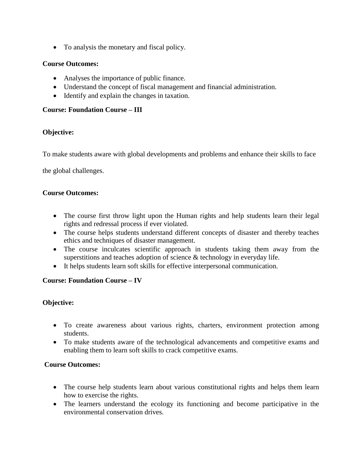To analysis the monetary and fiscal policy.

#### **Course Outcomes:**

- Analyses the importance of public finance.
- Understand the concept of fiscal management and financial administration.
- Identify and explain the changes in taxation.

#### **Course: Foundation Course – III**

#### **Objective:**

To make students aware with global developments and problems and enhance their skills to face

the global challenges.

#### **Course Outcomes:**

- The course first throw light upon the Human rights and help students learn their legal rights and redressal process if ever violated.
- The course helps students understand different concepts of disaster and thereby teaches ethics and techniques of disaster management.
- The course inculcates scientific approach in students taking them away from the superstitions and teaches adoption of science & technology in everyday life.
- It helps students learn soft skills for effective interpersonal communication.

### **Course: Foundation Course – IV**

### **Objective:**

- To create awareness about various rights, charters, environment protection among students.
- To make students aware of the technological advancements and competitive exams and enabling them to learn soft skills to crack competitive exams.

- The course help students learn about various constitutional rights and helps them learn how to exercise the rights.
- The learners understand the ecology its functioning and become participative in the environmental conservation drives.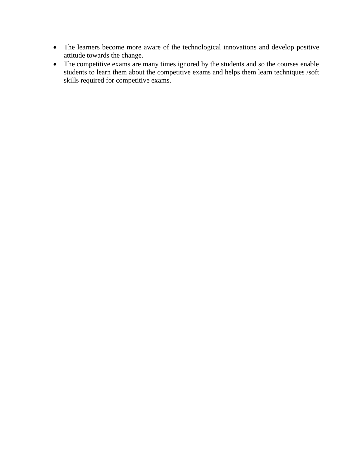- The learners become more aware of the technological innovations and develop positive attitude towards the change.
- The competitive exams are many times ignored by the students and so the courses enable students to learn them about the competitive exams and helps them learn techniques /soft skills required for competitive exams.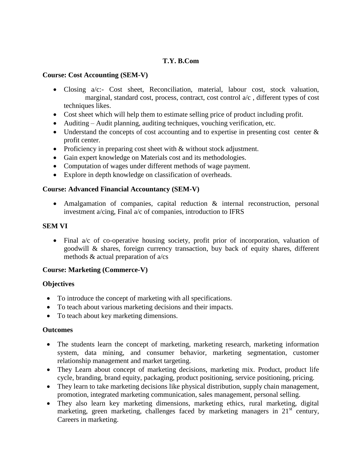### **T.Y. B.Com**

#### **Course: Cost Accounting (SEM-V)**

- Closing a/c:- Cost sheet, Reconciliation, material, labour cost, stock valuation, marginal, standard cost, process, contract, cost control a/c , different types of cost techniques likes.
- Cost sheet which will help them to estimate selling price of product including profit.
- Auditing Audit planning, auditing techniques, vouching verification, etc.
- Understand the concepts of cost accounting and to expertise in presenting cost center  $\&$ profit center.
- Proficiency in preparing cost sheet with  $&$  without stock adjustment.
- Gain expert knowledge on Materials cost and its methodologies.
- Computation of wages under different methods of wage payment.
- Explore in depth knowledge on classification of overheads.

### **Course: Advanced Financial Accountancy (SEM-V)**

 Amalgamation of companies, capital reduction & internal reconstruction, personal investment a/cing, Final a/c of companies, introduction to IFRS

#### **SEM VI**

• Final a/c of co-operative housing society, profit prior of incorporation, valuation of goodwill & shares, foreign currency transaction, buy back of equity shares, different methods & actual preparation of a/cs

### **Course: Marketing (Commerce-V)**

#### **Objectives**

- To introduce the concept of marketing with all specifications.
- To teach about various marketing decisions and their impacts.
- To teach about key marketing dimensions.

### **Outcomes**

- The students learn the concept of marketing, marketing research, marketing information system, data mining, and consumer behavior, marketing segmentation, customer relationship management and market targeting.
- They Learn about concept of marketing decisions, marketing mix. Product, product life cycle, branding, brand equity, packaging, product positioning, service positioning, pricing.
- They learn to take marketing decisions like physical distribution, supply chain management, promotion, integrated marketing communication, sales management, personal selling.
- They also learn key marketing dimensions, marketing ethics, rural marketing, digital marketing, green marketing, challenges faced by marketing managers in  $21<sup>st</sup>$  century, Careers in marketing.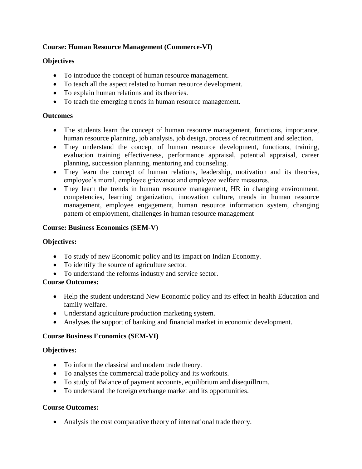# **Course: Human Resource Management (Commerce-VI)**

# **Objectives**

- To introduce the concept of human resource management.
- To teach all the aspect related to human resource development.
- To explain human relations and its theories.
- To teach the emerging trends in human resource management.

## **Outcomes**

- The students learn the concept of human resource management, functions, importance, human resource planning, job analysis, job design, process of recruitment and selection.
- They understand the concept of human resource development, functions, training, evaluation training effectiveness, performance appraisal, potential appraisal, career planning, succession planning, mentoring and counseling.
- They learn the concept of human relations, leadership, motivation and its theories, employee's moral, employee grievance and employee welfare measures.
- They learn the trends in human resource management, HR in changing environment, competencies, learning organization, innovation culture, trends in human resource management, employee engagement, human resource information system, changing pattern of employment, challenges in human resource management

# **Course: Business Economics (SEM-V**)

### **Objectives:**

- To study of new Economic policy and its impact on Indian Economy.
- To identify the source of agriculture sector.
- To understand the reforms industry and service sector.

### **Course Outcomes:**

- Help the student understand New Economic policy and its effect in health Education and family welfare.
- Understand agriculture production marketing system.
- Analyses the support of banking and financial market in economic development.

# **Course Business Economics (SEM-VI)**

### **Objectives:**

- To inform the classical and modern trade theory.
- To analyses the commercial trade policy and its workouts.
- To study of Balance of payment accounts, equilibrium and disequillrum.
- To understand the foreign exchange market and its opportunities.

# **Course Outcomes:**

Analysis the cost comparative theory of international trade theory.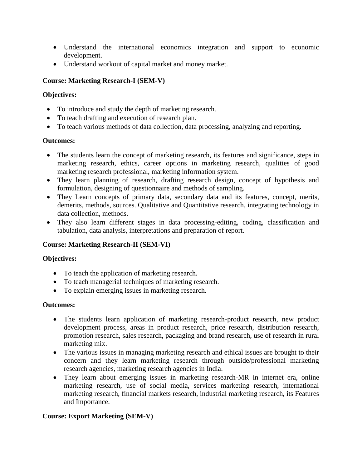- Understand the international economics integration and support to economic development.
- Understand workout of capital market and money market.

# **Course: Marketing Research-I (SEM-V)**

#### **Objectives:**

- To introduce and study the depth of marketing research.
- To teach drafting and execution of research plan.
- To teach various methods of data collection, data processing, analyzing and reporting.

#### **Outcomes:**

- The students learn the concept of marketing research, its features and significance, steps in marketing research, ethics, career options in marketing research, qualities of good marketing research professional, marketing information system.
- They learn planning of research, drafting research design, concept of hypothesis and formulation, designing of questionnaire and methods of sampling.
- They Learn concepts of primary data, secondary data and its features, concept, merits, demerits, methods, sources. Qualitative and Quantitative research, integrating technology in data collection, methods.
- They also learn different stages in data processing-editing, coding, classification and tabulation, data analysis, interpretations and preparation of report.

### **Course: Marketing Research-II (SEM-VI)**

### **Objectives:**

- To teach the application of marketing research.
- To teach managerial techniques of marketing research.
- To explain emerging issues in marketing research.

#### **Outcomes:**

- The students learn application of marketing research-product research, new product development process, areas in product research, price research, distribution research, promotion research, sales research, packaging and brand research, use of research in rural marketing mix.
- The various issues in managing marketing research and ethical issues are brought to their concern and they learn marketing research through outside/professional marketing research agencies, marketing research agencies in India.
- They learn about emerging issues in marketing research-MR in internet era, online marketing research, use of social media, services marketing research, international marketing research, financial markets research, industrial marketing research, its Features and Importance.

### **Course: Export Marketing (SEM-V)**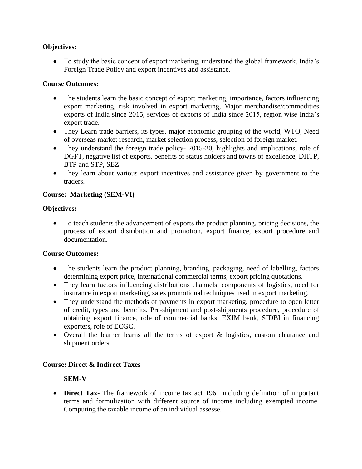### **Objectives:**

 To study the basic concept of export marketing, understand the global framework, India's Foreign Trade Policy and export incentives and assistance.

#### **Course Outcomes:**

- The students learn the basic concept of export marketing, importance, factors influencing export marketing, risk involved in export marketing, Major merchandise/commodities exports of India since 2015, services of exports of India since 2015, region wise India's export trade.
- They Learn trade barriers, its types, major economic grouping of the world, WTO, Need of overseas market research, market selection process, selection of foreign market.
- They understand the foreign trade policy- 2015-20, highlights and implications, role of DGFT, negative list of exports, benefits of status holders and towns of excellence, DHTP, BTP and STP, SEZ
- They learn about various export incentives and assistance given by government to the traders.

#### **Course: Marketing (SEM-VI)**

#### **Objectives:**

 To teach students the advancement of exports the product planning, pricing decisions, the process of export distribution and promotion, export finance, export procedure and documentation.

#### **Course Outcomes:**

- The students learn the product planning, branding, packaging, need of labelling, factors determining export price, international commercial terms, export pricing quotations.
- They learn factors influencing distributions channels, components of logistics, need for insurance in export marketing, sales promotional techniques used in export marketing.
- They understand the methods of payments in export marketing, procedure to open letter of credit, types and benefits. Pre-shipment and post-shipments procedure, procedure of obtaining export finance, role of commercial banks, EXIM bank, SIDBI in financing exporters, role of ECGC.
- Overall the learner learns all the terms of export & logistics, custom clearance and shipment orders.

#### **Course: Direct & Indirect Taxes**

#### **SEM-V**

 **Direct Tax-** The framework of income tax act 1961 including definition of important terms and formulization with different source of income including exempted income. Computing the taxable income of an individual assesse.